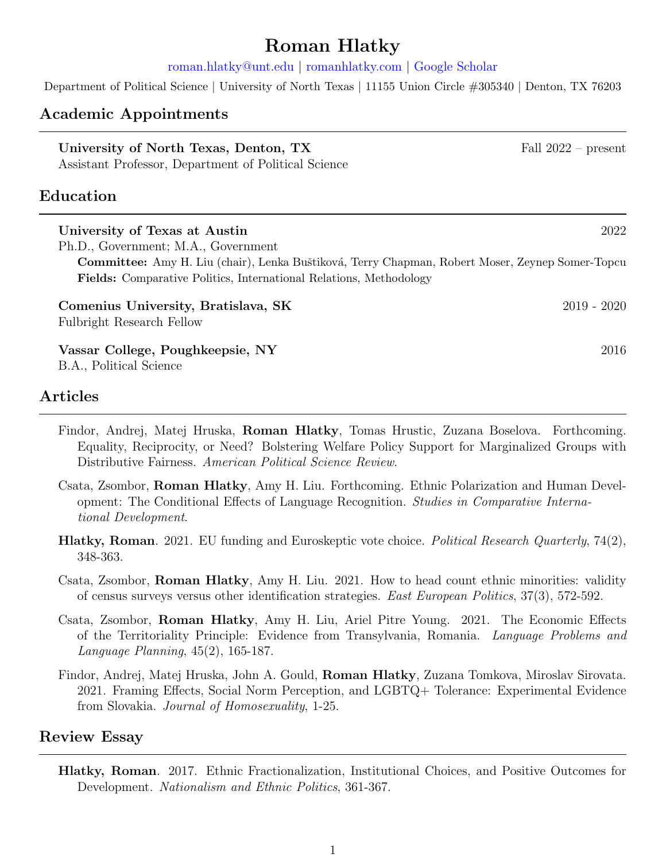# Roman Hlatky

[roman.hlatky@unt.edu](rohlatky@utexas.edu) | <romanhlatky.com> | [Google Scholar](https://scholar.google.com/citations?user=3h0DShQAAAAJ&hl=en)

Department of Political Science | University of North Texas | 11155 Union Circle #305340 | Denton, TX 76203

#### Academic Appointments

| University of North Texas, Denton, TX<br>Assistant Professor, Department of Political Science                                                                                | Fall $2022$ – present |
|------------------------------------------------------------------------------------------------------------------------------------------------------------------------------|-----------------------|
| ${\rm Education}$                                                                                                                                                            |                       |
| University of Texas at Austin<br>Ph.D., Government; M.A., Government                                                                                                         | 2022                  |
| Committee: Amy H. Liu (chair), Lenka Buštiková, Terry Chapman, Robert Moser, Zeynep Somer-Topcu<br><b>Fields:</b> Comparative Politics, International Relations, Methodology |                       |
| Comenius University, Bratislava, SK<br><b>Fulbright Research Fellow</b>                                                                                                      | $2019 - 2020$         |
| Vassar College, Poughkeepsie, NY<br>B.A., Political Science                                                                                                                  | 2016                  |

## Articles

- Findor, Andrej, Matej Hruska, Roman Hlatky, Tomas Hrustic, Zuzana Boselova. Forthcoming. Equality, Reciprocity, or Need? Bolstering Welfare Policy Support for Marginalized Groups with Distributive Fairness. American Political Science Review.
- Csata, Zsombor, Roman Hlatky, Amy H. Liu. Forthcoming. Ethnic Polarization and Human Development: The Conditional Effects of Language Recognition. Studies in Comparative International Development.
- **Hlatky, Roman.** 2021. EU funding and Euroskeptic vote choice. *Political Research Quarterly*, 74(2), 348-363.
- Csata, Zsombor, Roman Hlatky, Amy H. Liu. 2021. How to head count ethnic minorities: validity of census surveys versus other identification strategies. East European Politics, 37(3), 572-592.
- Csata, Zsombor, Roman Hlatky, Amy H. Liu, Ariel Pitre Young. 2021. The Economic Effects of the Territoriality Principle: Evidence from Transylvania, Romania. Language Problems and Language Planning, 45(2), 165-187.
- Findor, Andrej, Matej Hruska, John A. Gould, Roman Hlatky, Zuzana Tomkova, Miroslav Sirovata. 2021. Framing Effects, Social Norm Perception, and LGBTQ+ Tolerance: Experimental Evidence from Slovakia. Journal of Homosexuality, 1-25.

#### Review Essay

Hlatky, Roman. 2017. Ethnic Fractionalization, Institutional Choices, and Positive Outcomes for Development. Nationalism and Ethnic Politics, 361-367.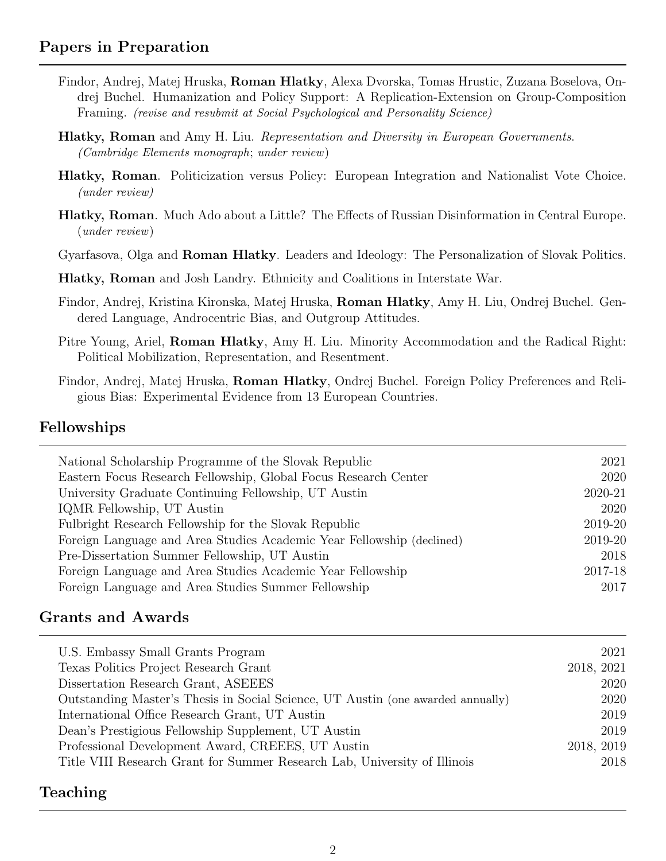## Papers in Preparation

- Findor, Andrej, Matej Hruska, Roman Hlatky, Alexa Dvorska, Tomas Hrustic, Zuzana Boselova, Ondrej Buchel. Humanization and Policy Support: A Replication-Extension on Group-Composition Framing. (revise and resubmit at Social Psychological and Personality Science)
- **Hlatky, Roman** and Amy H. Liu. *Representation and Diversity in European Governments.* (Cambridge Elements monograph; under review)
- Hlatky, Roman. Politicization versus Policy: European Integration and Nationalist Vote Choice. (under review)
- Hlatky, Roman. Much Ado about a Little? The Effects of Russian Disinformation in Central Europe. (under review)

Gyarfasova, Olga and Roman Hlatky. Leaders and Ideology: The Personalization of Slovak Politics.

Hlatky, Roman and Josh Landry. Ethnicity and Coalitions in Interstate War.

- Findor, Andrej, Kristina Kironska, Matej Hruska, Roman Hlatky, Amy H. Liu, Ondrej Buchel. Gendered Language, Androcentric Bias, and Outgroup Attitudes.
- Pitre Young, Ariel, **Roman Hlatky**, Amy H. Liu. Minority Accommodation and the Radical Right: Political Mobilization, Representation, and Resentment.
- Findor, Andrej, Matej Hruska, Roman Hlatky, Ondrej Buchel. Foreign Policy Preferences and Religious Bias: Experimental Evidence from 13 European Countries.

#### Fellowships

| National Scholarship Programme of the Slovak Republic                 | 2021    |
|-----------------------------------------------------------------------|---------|
| Eastern Focus Research Fellowship, Global Focus Research Center       | 2020    |
| University Graduate Continuing Fellowship, UT Austin                  | 2020-21 |
| IQMR Fellowship, UT Austin                                            | 2020    |
| Fulbright Research Fellowship for the Slovak Republic                 | 2019-20 |
| Foreign Language and Area Studies Academic Year Fellowship (declined) | 2019-20 |
| Pre-Dissertation Summer Fellowship, UT Austin                         | 2018    |
| Foreign Language and Area Studies Academic Year Fellowship            | 2017-18 |
| Foreign Language and Area Studies Summer Fellowship                   | 2017    |

#### Grants and Awards

| 2021       |
|------------|
| 2018, 2021 |
| 2020       |
| 2020       |
| 2019       |
| 2019       |
| 2018, 2019 |
| 2018       |
|            |

#### Teaching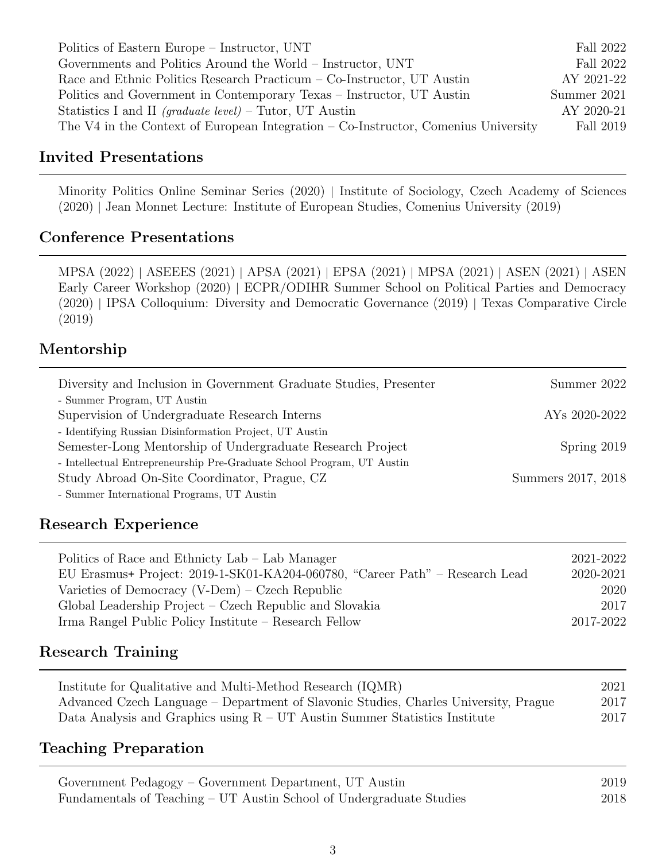| Politics of Eastern Europe – Instructor, UNT                                         | Fall 2022   |
|--------------------------------------------------------------------------------------|-------------|
| Governments and Politics Around the World – Instructor, UNT                          | Fall 2022   |
| Race and Ethnic Politics Research Practicum – Co-Instructor, UT Austin               | AY 2021-22  |
| Politics and Government in Contemporary Texas – Instructor, UT Austin                | Summer 2021 |
| Statistics I and II (graduate level) – Tutor, UT Austin                              | AY 2020-21  |
| The V4 in the Context of European Integration $-$ Co-Instructor, Comenius University | Fall 2019   |

## Invited Presentations

Minority Politics Online Seminar Series (2020) | Institute of Sociology, Czech Academy of Sciences (2020) | Jean Monnet Lecture: Institute of European Studies, Comenius University (2019)

#### Conference Presentations

MPSA (2022) | ASEEES (2021) | APSA (2021) | EPSA (2021) | MPSA (2021) | ASEN (2021) | ASEN Early Career Workshop (2020) | ECPR/ODIHR Summer School on Political Parties and Democracy (2020) | IPSA Colloquium: Diversity and Democratic Governance (2019) | Texas Comparative Circle (2019)

## Mentorship

| Diversity and Inclusion in Government Graduate Studies, Presenter      | Summer 2022               |
|------------------------------------------------------------------------|---------------------------|
| - Summer Program, UT Austin                                            |                           |
| Supervision of Undergraduate Research Interns                          | AY <sub>s</sub> 2020-2022 |
| - Identifying Russian Disinformation Project, UT Austin                |                           |
| Semester-Long Mentorship of Undergraduate Research Project             | Spring $2019$             |
| - Intellectual Entrepreneurship Pre-Graduate School Program, UT Austin |                           |
| Study Abroad On-Site Coordinator, Prague, CZ                           | Summers 2017, 2018        |
| - Summer International Programs, UT Austin                             |                           |

## Research Experience

| Politics of Race and Ethnicty Lab – Lab Manager                              | 2021-2022 |
|------------------------------------------------------------------------------|-----------|
| EU Erasmus+ Project: 2019-1-SK01-KA204-060780, "Career Path" – Research Lead | 2020-2021 |
| Varieties of Democracy $(V-Dem)$ – Czech Republic                            | 2020      |
| Global Leadership Project – Czech Republic and Slovakia                      | 2017      |
| Irma Rangel Public Policy Institute – Research Fellow                        | 2017-2022 |

## Research Training

| Institute for Qualitative and Multi-Method Research (IQMR)                           | 2021 |
|--------------------------------------------------------------------------------------|------|
| Advanced Czech Language – Department of Slavonic Studies, Charles University, Prague | 2017 |
| Data Analysis and Graphics using $R - UT$ Austin Summer Statistics Institute         | 2017 |

## Teaching Preparation

| Government Pedagogy – Government Department, UT Austin               | 2019 |
|----------------------------------------------------------------------|------|
| Fundamentals of Teaching – UT Austin School of Undergraduate Studies | 2018 |